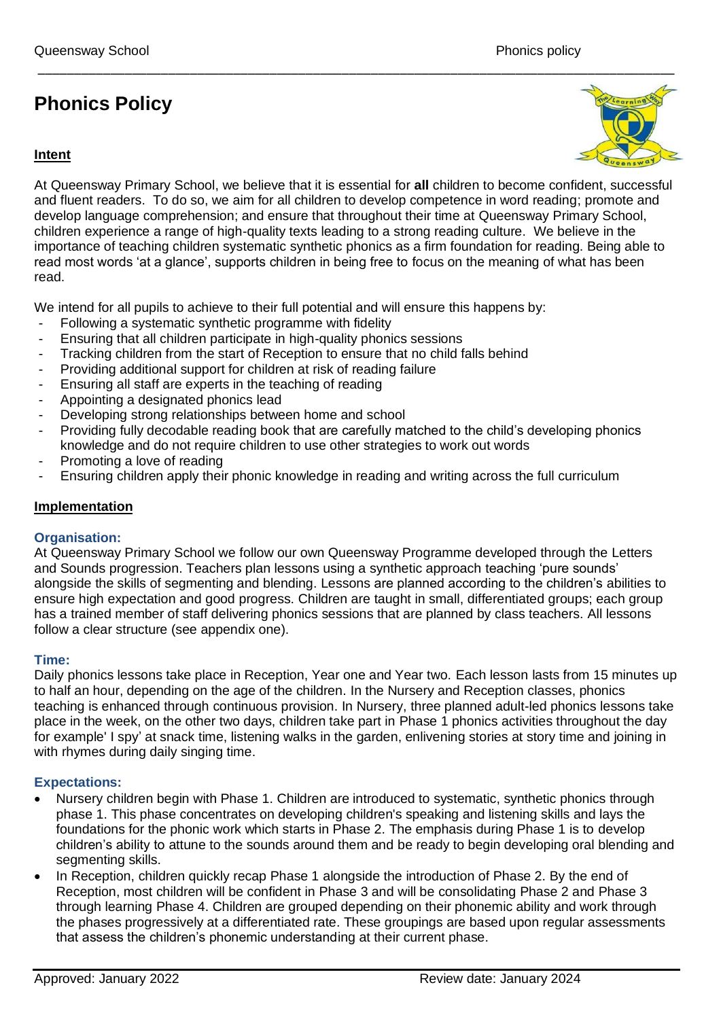# **Phonics Policy**



At Queensway Primary School, we believe that it is essential for **all** children to become confident, successful and fluent readers. To do so, we aim for all children to develop competence in word reading; promote and develop language comprehension; and ensure that throughout their time at Queensway Primary School, children experience a range of high-quality texts leading to a strong reading culture. We believe in the importance of teaching children systematic synthetic phonics as a firm foundation for reading. Being able to read most words 'at a glance', supports children in being free to focus on the meaning of what has been read.

We intend for all pupils to achieve to their full potential and will ensure this happens by:

- Following a systematic synthetic programme with fidelity
- Ensuring that all children participate in high-quality phonics sessions
- Tracking children from the start of Reception to ensure that no child falls behind
- Providing additional support for children at risk of reading failure
- Ensuring all staff are experts in the teaching of reading
- Appointing a designated phonics lead
- Developing strong relationships between home and school
- Providing fully decodable reading book that are carefully matched to the child's developing phonics knowledge and do not require children to use other strategies to work out words
- Promoting a love of reading
- Ensuring children apply their phonic knowledge in reading and writing across the full curriculum

#### **Implementation**

#### **Organisation:**

At Queensway Primary School we follow our own Queensway Programme developed through the Letters and Sounds progression. Teachers plan lessons using a synthetic approach teaching 'pure sounds' alongside the skills of segmenting and blending. Lessons are planned according to the children's abilities to ensure high expectation and good progress. Children are taught in small, differentiated groups; each group has a trained member of staff delivering phonics sessions that are planned by class teachers. All lessons follow a clear structure (see appendix one).

#### **Time:**

Daily phonics lessons take place in Reception, Year one and Year two. Each lesson lasts from 15 minutes up to half an hour, depending on the age of the children. In the Nursery and Reception classes, phonics teaching is enhanced through continuous provision. In Nursery, three planned adult-led phonics lessons take place in the week, on the other two days, children take part in Phase 1 phonics activities throughout the day for example' I spy' at snack time, listening walks in the garden, enlivening stories at story time and joining in with rhymes during daily singing time.

#### **Expectations:**

- Nursery children begin with Phase 1. Children are introduced to systematic, synthetic phonics through phase 1. This phase concentrates on developing children's speaking and listening skills and lays the foundations for the phonic work which starts in Phase 2. The emphasis during Phase 1 is to develop children's ability to attune to the sounds around them and be ready to begin developing oral blending and segmenting skills.
- In Reception, children quickly recap Phase 1 alongside the introduction of Phase 2. By the end of Reception, most children will be confident in Phase 3 and will be consolidating Phase 2 and Phase 3 through learning Phase 4. Children are grouped depending on their phonemic ability and work through the phases progressively at a differentiated rate. These groupings are based upon regular assessments that assess the children's phonemic understanding at their current phase.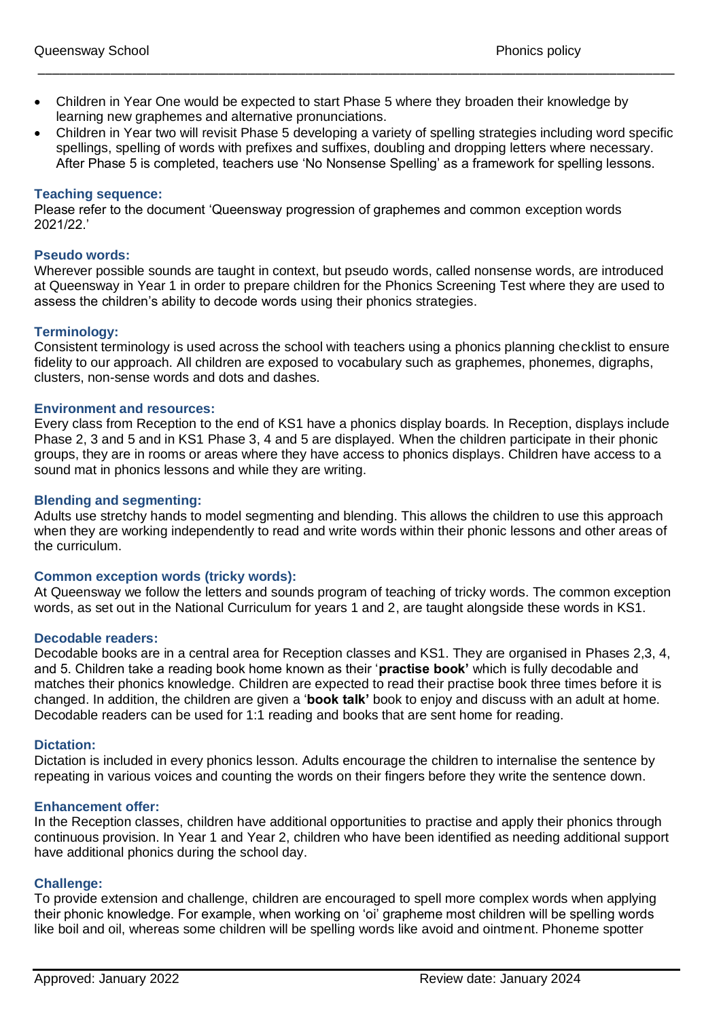- Children in Year One would be expected to start Phase 5 where they broaden their knowledge by learning new graphemes and alternative pronunciations.
- Children in Year two will revisit Phase 5 developing a variety of spelling strategies including word specific spellings, spelling of words with prefixes and suffixes, doubling and dropping letters where necessary. After Phase 5 is completed, teachers use 'No Nonsense Spelling' as a framework for spelling lessons.

\_\_\_\_\_\_\_\_\_\_\_\_\_\_\_\_\_\_\_\_\_\_\_\_\_\_\_\_\_\_\_\_\_\_\_\_\_\_\_\_\_\_\_\_\_\_\_\_\_\_\_\_\_\_\_\_\_\_\_\_\_\_\_\_\_\_\_\_\_\_\_\_\_\_\_\_\_\_\_\_\_\_\_\_\_\_\_\_

#### **Teaching sequence:**

Please refer to the document 'Queensway progression of graphemes and common exception words 2021/22.'

#### **Pseudo words:**

Wherever possible sounds are taught in context, but pseudo words, called nonsense words, are introduced at Queensway in Year 1 in order to prepare children for the Phonics Screening Test where they are used to assess the children's ability to decode words using their phonics strategies.

#### **Terminology:**

Consistent terminology is used across the school with teachers using a phonics planning checklist to ensure fidelity to our approach. All children are exposed to vocabulary such as graphemes, phonemes, digraphs, clusters, non-sense words and dots and dashes.

#### **Environment and resources:**

Every class from Reception to the end of KS1 have a phonics display boards. In Reception, displays include Phase 2, 3 and 5 and in KS1 Phase 3, 4 and 5 are displayed. When the children participate in their phonic groups, they are in rooms or areas where they have access to phonics displays. Children have access to a sound mat in phonics lessons and while they are writing.

#### **Blending and segmenting:**

Adults use stretchy hands to model segmenting and blending. This allows the children to use this approach when they are working independently to read and write words within their phonic lessons and other areas of the curriculum.

#### **Common exception words (tricky words):**

At Queensway we follow the letters and sounds program of teaching of tricky words. The common exception words, as set out in the National Curriculum for years 1 and 2, are taught alongside these words in KS1.

#### **Decodable readers:**

Decodable books are in a central area for Reception classes and KS1. They are organised in Phases 2,3, 4, and 5. Children take a reading book home known as their '**practise book'** which is fully decodable and matches their phonics knowledge. Children are expected to read their practise book three times before it is changed. In addition, the children are given a '**book talk'** book to enjoy and discuss with an adult at home. Decodable readers can be used for 1:1 reading and books that are sent home for reading.

#### **Dictation:**

Dictation is included in every phonics lesson. Adults encourage the children to internalise the sentence by repeating in various voices and counting the words on their fingers before they write the sentence down.

#### **Enhancement offer:**

In the Reception classes, children have additional opportunities to practise and apply their phonics through continuous provision. In Year 1 and Year 2, children who have been identified as needing additional support have additional phonics during the school day.

#### **Challenge:**

To provide extension and challenge, children are encouraged to spell more complex words when applying their phonic knowledge. For example, when working on 'oi' grapheme most children will be spelling words like boil and oil, whereas some children will be spelling words like avoid and ointment. Phoneme spotter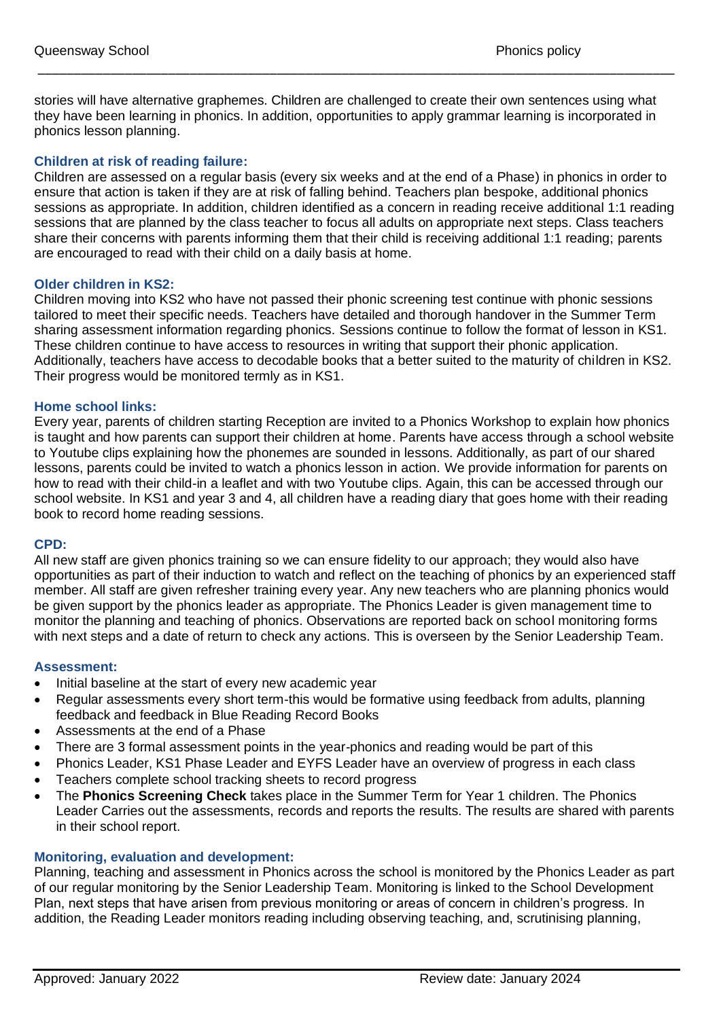stories will have alternative graphemes. Children are challenged to create their own sentences using what they have been learning in phonics. In addition, opportunities to apply grammar learning is incorporated in phonics lesson planning.

\_\_\_\_\_\_\_\_\_\_\_\_\_\_\_\_\_\_\_\_\_\_\_\_\_\_\_\_\_\_\_\_\_\_\_\_\_\_\_\_\_\_\_\_\_\_\_\_\_\_\_\_\_\_\_\_\_\_\_\_\_\_\_\_\_\_\_\_\_\_\_\_\_\_\_\_\_\_\_\_\_\_\_\_\_\_\_\_

#### **Children at risk of reading failure:**

Children are assessed on a regular basis (every six weeks and at the end of a Phase) in phonics in order to ensure that action is taken if they are at risk of falling behind. Teachers plan bespoke, additional phonics sessions as appropriate. In addition, children identified as a concern in reading receive additional 1:1 reading sessions that are planned by the class teacher to focus all adults on appropriate next steps. Class teachers share their concerns with parents informing them that their child is receiving additional 1:1 reading; parents are encouraged to read with their child on a daily basis at home.

#### **Older children in KS2:**

Children moving into KS2 who have not passed their phonic screening test continue with phonic sessions tailored to meet their specific needs. Teachers have detailed and thorough handover in the Summer Term sharing assessment information regarding phonics. Sessions continue to follow the format of lesson in KS1. These children continue to have access to resources in writing that support their phonic application. Additionally, teachers have access to decodable books that a better suited to the maturity of children in KS2. Their progress would be monitored termly as in KS1.

#### **Home school links:**

Every year, parents of children starting Reception are invited to a Phonics Workshop to explain how phonics is taught and how parents can support their children at home. Parents have access through a school website to Youtube clips explaining how the phonemes are sounded in lessons. Additionally, as part of our shared lessons, parents could be invited to watch a phonics lesson in action. We provide information for parents on how to read with their child-in a leaflet and with two Youtube clips. Again, this can be accessed through our school website. In KS1 and year 3 and 4, all children have a reading diary that goes home with their reading book to record home reading sessions.

#### **CPD:**

All new staff are given phonics training so we can ensure fidelity to our approach; they would also have opportunities as part of their induction to watch and reflect on the teaching of phonics by an experienced staff member. All staff are given refresher training every year. Any new teachers who are planning phonics would be given support by the phonics leader as appropriate. The Phonics Leader is given management time to monitor the planning and teaching of phonics. Observations are reported back on school monitoring forms with next steps and a date of return to check any actions. This is overseen by the Senior Leadership Team.

#### **Assessment:**

- Initial baseline at the start of every new academic year
- Regular assessments every short term-this would be formative using feedback from adults, planning feedback and feedback in Blue Reading Record Books
- Assessments at the end of a Phase
- There are 3 formal assessment points in the year-phonics and reading would be part of this
- Phonics Leader, KS1 Phase Leader and EYFS Leader have an overview of progress in each class
- Teachers complete school tracking sheets to record progress
- The **Phonics Screening Check** takes place in the Summer Term for Year 1 children. The Phonics Leader Carries out the assessments, records and reports the results. The results are shared with parents in their school report.

#### **Monitoring, evaluation and development:**

Planning, teaching and assessment in Phonics across the school is monitored by the Phonics Leader as part of our regular monitoring by the Senior Leadership Team. Monitoring is linked to the School Development Plan, next steps that have arisen from previous monitoring or areas of concern in children's progress. In addition, the Reading Leader monitors reading including observing teaching, and, scrutinising planning,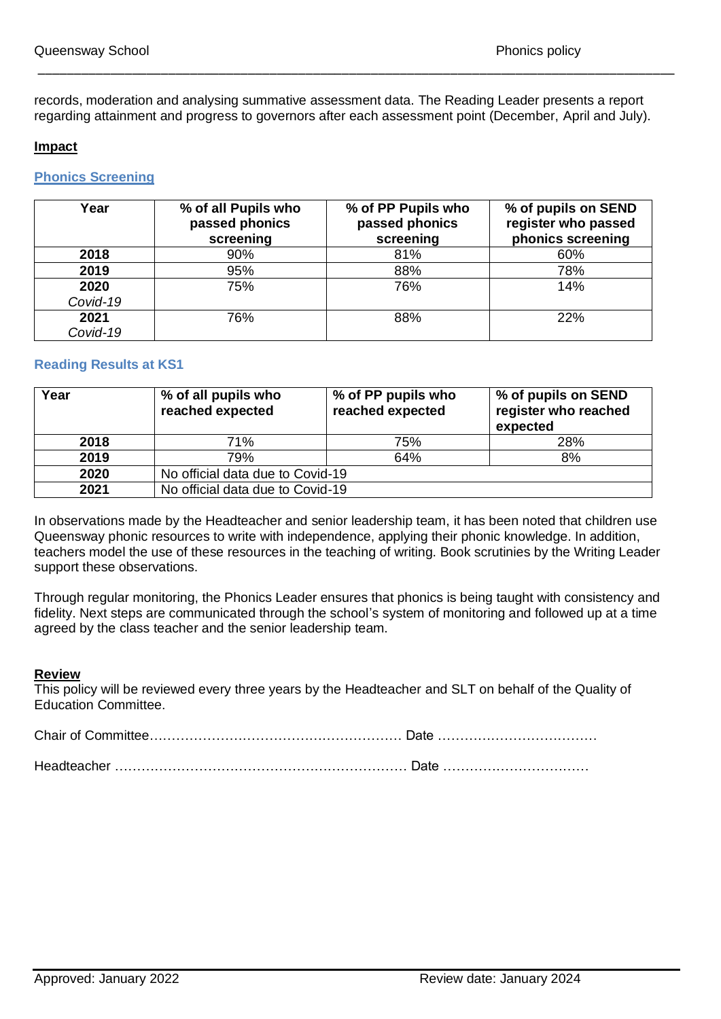records, moderation and analysing summative assessment data. The Reading Leader presents a report regarding attainment and progress to governors after each assessment point (December, April and July).

\_\_\_\_\_\_\_\_\_\_\_\_\_\_\_\_\_\_\_\_\_\_\_\_\_\_\_\_\_\_\_\_\_\_\_\_\_\_\_\_\_\_\_\_\_\_\_\_\_\_\_\_\_\_\_\_\_\_\_\_\_\_\_\_\_\_\_\_\_\_\_\_\_\_\_\_\_\_\_\_\_\_\_\_\_\_\_\_

#### **Impact**

### **Phonics Screening**

| Year     | % of all Pupils who<br>passed phonics<br>screening | % of PP Pupils who<br>passed phonics<br>screening | % of pupils on SEND<br>register who passed<br>phonics screening |
|----------|----------------------------------------------------|---------------------------------------------------|-----------------------------------------------------------------|
| 2018     | 90%                                                | 81%                                               | 60%                                                             |
| 2019     | 95%                                                | 88%                                               | 78%                                                             |
| 2020     | 75%                                                | 76%                                               | 14%                                                             |
| Covid-19 |                                                    |                                                   |                                                                 |
| 2021     | 76%                                                | 88%                                               | 22%                                                             |
| Covid-19 |                                                    |                                                   |                                                                 |

#### **Reading Results at KS1**

| Year | % of all pupils who<br>reached expected | % of PP pupils who<br>reached expected | % of pupils on SEND<br>register who reached<br>expected |
|------|-----------------------------------------|----------------------------------------|---------------------------------------------------------|
| 2018 | 71%                                     | 75%                                    | 28%                                                     |
| 2019 | 79%                                     | 64%                                    | 8%                                                      |
| 2020 | No official data due to Covid-19        |                                        |                                                         |
| 2021 | No official data due to Covid-19        |                                        |                                                         |

In observations made by the Headteacher and senior leadership team, it has been noted that children use Queensway phonic resources to write with independence, applying their phonic knowledge. In addition, teachers model the use of these resources in the teaching of writing. Book scrutinies by the Writing Leader support these observations.

Through regular monitoring, the Phonics Leader ensures that phonics is being taught with consistency and fidelity. Next steps are communicated through the school's system of monitoring and followed up at a time agreed by the class teacher and the senior leadership team.

#### **Review**

This policy will be reviewed every three years by the Headteacher and SLT on behalf of the Quality of Education Committee.